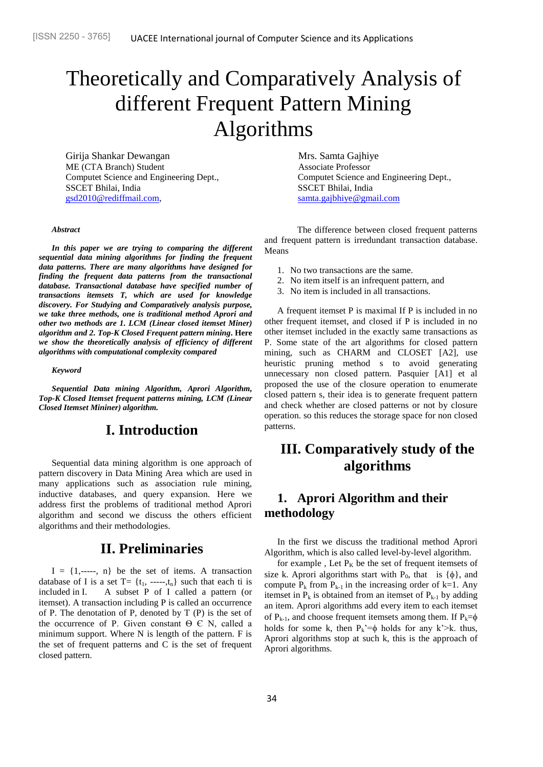# Theoretically and Comparatively Analysis of different Frequent Pattern Mining Algorithms

Girija Shankar Dewangan **Mrs.** Samta Gajhiye ME (CTA Branch) Student Associate Professor SSCET Bhilai, India SSCET Bhilai, India [gsd2010@rediffmail.com,](mailto:gsd2010@rediffmail.com) [samta.gajbhiye@gmail.com](mailto:samta.gajbhiye@gmail.com)

#### *Abstract*

*In this paper we are trying to comparing the different sequential data mining algorithms for finding the frequent data patterns. There are many algorithms have designed for finding the frequent data patterns from the transactional database. Transactional database have specified number of transactions itemsets T, which are used for knowledge discovery. For Studying and Comparatively analysis purpose, we take three methods, one is traditional method Aprori and other two methods are 1. LCM (Linear closed itemset Miner) algorithm and 2. Top-K Closed Frequent pattern mining***. Here**  *we show the theoretically analysis of efficiency of different algorithms with computational complexity compared*

#### *Keyword*

*Sequential Data mining Algorithm, Aprori Algorithm, Top-K Closed Itemset frequent patterns mining, LCM (Linear Closed Itemset Mininer) algorithm.*

## **I. Introduction**

Sequential data mining algorithm is one approach of pattern discovery in Data Mining Area which are used in many applications such as association rule mining, inductive databases, and query expansion. Here we address first the problems of traditional method Aprori algorithm and second we discuss the others efficient algorithms and their methodologies.

## **II. Preliminaries**

 $I = \{1, \dots, n\}$  be the set of items. A transaction database of I is a set  $T = \{t_1, \dots, t_n\}$  such that each ti is included in I. A subset P of I called a pattern (or itemset). A transaction including P is called an occurrence of P. The denotation of P, denoted by  $T(P)$  is the set of the occurrence of P. Given constant  $\Theta \in N$ , called a minimum support. Where N is length of the pattern. F is the set of frequent patterns and C is the set of frequent closed pattern.

Computet Science and Engineering Dept., Computet Science and Engineering Dept.,

The difference between closed frequent patterns and frequent pattern is irredundant transaction database. Means

- 1. No two transactions are the same.
- 2. No item itself is an infrequent pattern, and
- 3. No item is included in all transactions.

A frequent itemset P is maximal If P is included in no other frequent itemset, and closed if P is included in no other itemset included in the exactly same transactions as P. Some state of the art algorithms for closed pattern mining, such as CHARM and CLOSET [A2], use heuristic pruning method s to avoid generating unnecessary non closed pattern. Pasquier [A1] et al proposed the use of the closure operation to enumerate closed pattern s, their idea is to generate frequent pattern and check whether are closed patterns or not by closure operation. so this reduces the storage space for non closed patterns.

# **III. Comparatively study of the algorithms**

#### **1. Aprori Algorithm and their methodology**

In the first we discuss the traditional method Aprori Algorithm, which is also called level-by-level algorithm.

for example, Let  $P_K$  be the set of frequent itemsets of size k. Aprori algorithms start with  $P_0$ , that is  $\{\phi\}$ , and compute  $P_k$  from  $P_{k-1}$  in the increasing order of k=1. Any itemset in  $P_k$  is obtained from an itemset of  $P_{k-1}$  by adding an item. Aprori algorithms add every item to each itemset of  $P_{k-1}$ , and choose frequent itemsets among them. If  $P_k= \phi$ holds for some k, then  $P_k'=\phi$  holds for any k'>k. thus, Aprori algorithms stop at such k, this is the approach of Aprori algorithms.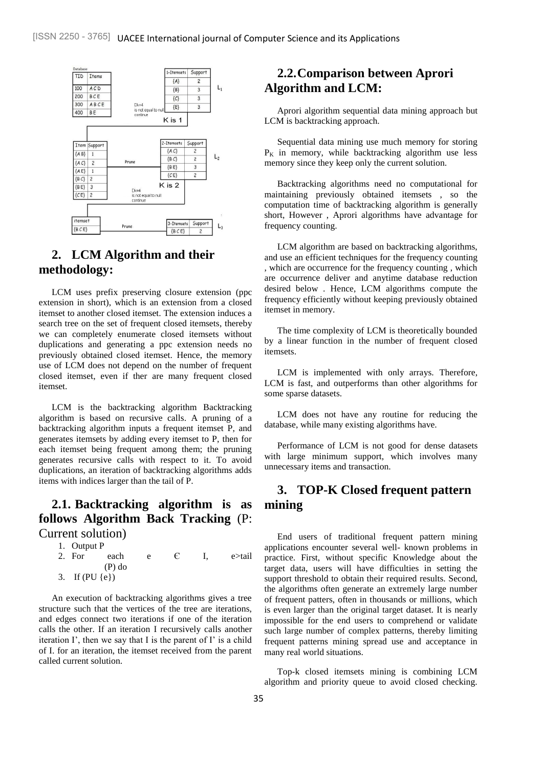

#### **2. LCM Algorithm and their methodology:**

LCM uses prefix preserving closure extension (ppc extension in short), which is an extension from a closed itemset to another closed itemset. The extension induces a search tree on the set of frequent closed itemsets, thereby we can completely enumerate closed itemsets without duplications and generating a ppc extension needs no previously obtained closed itemset. Hence, the memory use of LCM does not depend on the number of frequent closed itemset, even if ther are many frequent closed itemset.

LCM is the backtracking algorithm Backtracking algorithm is based on recursive calls. A pruning of a backtracking algorithm inputs a frequent itemset P, and generates itemsets by adding every itemset to P, then for each itemset being frequent among them; the pruning generates recursive calls with respect to it. To avoid duplications, an iteration of backtracking algorithms adds items with indices larger than the tail of P.

## **2.1. Backtracking algorithm is as follows Algorithm Back Tracking** (P: Current solution)

- 1. Output P
- 2. For each e  $\epsilon$  I, e>tail (P) do 3. If (PU {e})

An execution of backtracking algorithms gives a tree structure such that the vertices of the tree are iterations, and edges connect two iterations if one of the iteration calls the other. If an iteration I recursively calls another iteration I', then we say that I is the parent of I' is a child of I. for an iteration, the itemset received from the parent called current solution.

#### **2.2.Comparison between Aprori Algorithm and LCM:**

Aprori algorithm sequential data mining approach but LCM is backtracking approach.

Sequential data mining use much memory for storing  $P_K$  in memory, while backtracking algorithm use less memory since they keep only the current solution.

Backtracking algorithms need no computational for maintaining previously obtained itemsets , so the computation time of backtracking algorithm is generally short, However , Aprori algorithms have advantage for frequency counting.

LCM algorithm are based on backtracking algorithms, and use an efficient techniques for the frequency counting , which are occurrence for the frequency counting , which are occurrence deliver and anytime database reduction desired below . Hence, LCM algorithms compute the frequency efficiently without keeping previously obtained itemset in memory.

The time complexity of LCM is theoretically bounded by a linear function in the number of frequent closed itemsets.

LCM is implemented with only arrays. Therefore, LCM is fast, and outperforms than other algorithms for some sparse datasets.

LCM does not have any routine for reducing the database, while many existing algorithms have.

Performance of LCM is not good for dense datasets with large minimum support, which involves many unnecessary items and transaction.

#### **3. TOP-K Closed frequent pattern mining**

End users of traditional frequent pattern mining applications encounter several well- known problems in practice. First, without specific Knowledge about the target data, users will have difficulties in setting the support threshold to obtain their required results. Second, the algorithms often generate an extremely large number of frequent patters, often in thousands or millions, which is even larger than the original target dataset. It is nearly impossible for the end users to comprehend or validate such large number of complex patterns, thereby limiting frequent patterns mining spread use and acceptance in many real world situations.

Top-k closed itemsets mining is combining LCM algorithm and priority queue to avoid closed checking.